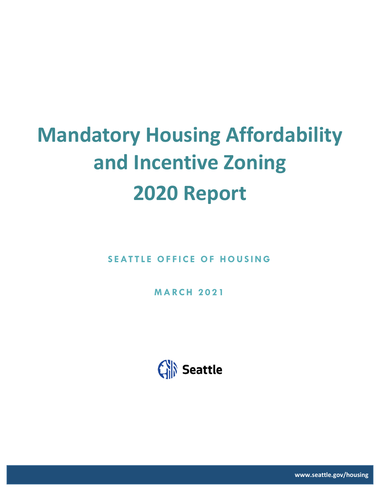# **Mandatory Housing Affordability and Incentive Zoning 2020 Report**

**SEATTLE OFFICE OF HOUSING** 

**M A RC H 2 0 2 1**



**www.seattle.gov/housing**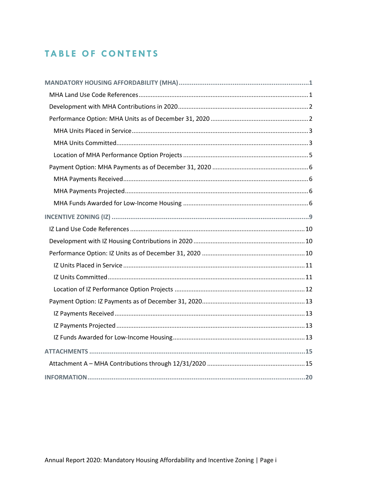# TABLE OF CONTENTS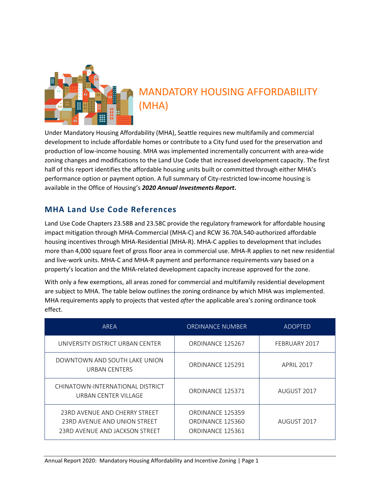

# <span id="page-2-0"></span>MANDATORY HOUSING AFFORDABILITY (MHA)

Under Mandatory Housing Affordability (MHA), Seattle requires new multifamily and commercial development to include affordable homes or contribute to a City fund used for the preservation and production of low-income housing. MHA was implemented incrementally concurrent with area-wide zoning changes and modifications to the Land Use Code that increased development capacity. The first half of this report identifies the affordable housing units built or committed through either MHA's performance option or payment option. A full summary of City-restricted low-income housing is available in the Office of Housing's *2020 Annual Investments Report***.**

## <span id="page-2-1"></span>**MHA Land Use Code References**

Land Use Code Chapters 23.58B and 23.58C provide the regulatory framework for affordable housing impact mitigation through MHA-Commercial (MHA-C) and RCW 36.70A.540-authorized affordable housing incentives through MHA-Residential (MHA-R). MHA-C applies to development that includes more than 4,000 square feet of gross floor area in commercial use. MHA-R applies to net new residential and live-work units. MHA-C and MHA-R payment and performance requirements vary based on a property's location and the MHA-related development capacity increase approved for the zone.

With only a few exemptions, all areas zoned for commercial and multifamily residential development are subject to MHA. The table below outlines the zoning ordinance by which MHA was implemented. MHA requirements apply to projects that vested *after* the applicable area's zoning ordinance took effect.

| AREA                                                                                            | <b>ORDINANCE NUMBER</b>                                  | <b>ADOPTED</b>    |
|-------------------------------------------------------------------------------------------------|----------------------------------------------------------|-------------------|
| UNIVERSITY DISTRICT URBAN CENTER                                                                | ORDINANCE 125267                                         | FEBRUARY 2017     |
| DOWNTOWN AND SOUTH LAKE UNION<br>URBAN CENTERS                                                  | ORDINANCE 125291                                         | <b>APRIL 2017</b> |
| CHINATOWN-INTERNATIONAL DISTRICT<br>URBAN CENTER VILLAGE                                        | ORDINANCE 125371                                         | AUGUST 2017       |
| 23RD AVENUE AND CHERRY STREET<br>23RD AVENUE AND UNION STREET<br>23RD AVENUE AND JACKSON STREET | ORDINANCE 125359<br>ORDINANCE 125360<br>ORDINANCE 125361 | AUGUST 2017       |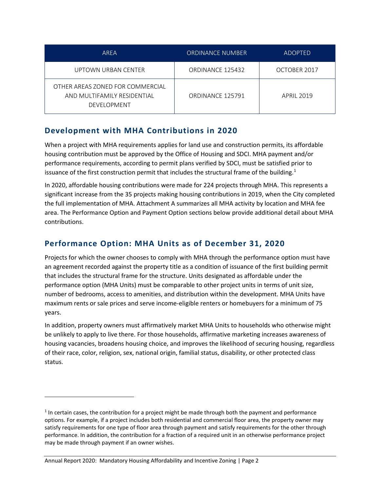| AREA                                                                                  | <b>ORDINANCE NUMBER</b> | ADOPTED           |
|---------------------------------------------------------------------------------------|-------------------------|-------------------|
| UPTOWN URBAN CENTER                                                                   | ORDINANCE 125432        | OCTOBER 2017      |
| OTHER AREAS ZONED FOR COMMERCIAL<br>AND MULTIFAMILY RESIDENTIAL<br><b>DEVELOPMENT</b> | ORDINANCE 125791        | <b>APRIL 2019</b> |

## <span id="page-3-0"></span>**Development with MHA Contributions in 2020**

When a project with MHA requirements applies for land use and construction permits, its affordable housing contribution must be approved by the Office of Housing and SDCI. MHA payment and/or performance requirements, according to permit plans verified by SDCI, must be satisfied prior to issuance of the first construction permit that includes the structural frame of the building.<sup>1</sup>

In 2020, affordable housing contributions were made for 224 projects through MHA. This represents a significant increase from the 35 projects making housing contributions in 2019, when the City completed the full implementation of MHA. Attachment A summarizes all MHA activity by location and MHA fee area. The Performance Option and Payment Option sections below provide additional detail about MHA contributions.

## <span id="page-3-1"></span>**Performance Option: MHA Units as of December 31, 2020**

Projects for which the owner chooses to comply with MHA through the performance option must have an agreement recorded against the property title as a condition of issuance of the first building permit that includes the structural frame for the structure. Units designated as affordable under the performance option (MHA Units) must be comparable to other project units in terms of unit size, number of bedrooms, access to amenities, and distribution within the development. MHA Units have maximum rents or sale prices and serve income-eligible renters or homebuyers for a minimum of 75 years.

In addition, property owners must affirmatively market MHA Units to households who otherwise might be unlikely to apply to live there. For those households, affirmative marketing increases awareness of housing vacancies, broadens housing choice, and improves the likelihood of securing housing, regardless of their race, color, religion, sex, national origin, familial status, disability, or other protected class status.

 $<sup>1</sup>$  In certain cases, the contribution for a project might be made through both the payment and performance</sup> options. For example, if a project includes both residential and commercial floor area, the property owner may satisfy requirements for one type of floor area through payment and satisfy requirements for the other through performance. In addition, the contribution for a fraction of a required unit in an otherwise performance project may be made through payment if an owner wishes.

Annual Report 2020: Mandatory Housing Affordability and Incentive Zoning | Page 2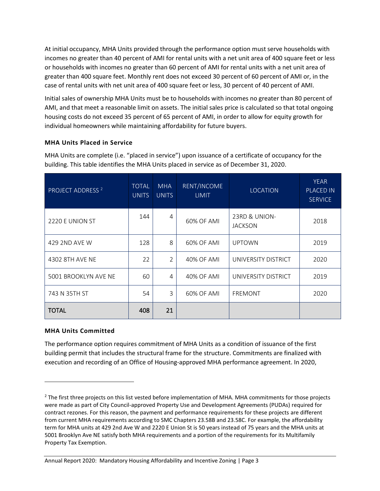At initial occupancy, MHA Units provided through the performance option must serve households with incomes no greater than 40 percent of AMI for rental units with a net unit area of 400 square feet or less or households with incomes no greater than 60 percent of AMI for rental units with a net unit area of greater than 400 square feet. Monthly rent does not exceed 30 percent of 60 percent of AMI or, in the case of rental units with net unit area of 400 square feet or less, 30 percent of 40 percent of AMI.

Initial sales of ownership MHA Units must be to households with incomes no greater than 80 percent of AMI, and that meet a reasonable limit on assets. The initial sales price is calculated so that total ongoing housing costs do not exceed 35 percent of 65 percent of AMI, in order to allow for equity growth for individual homeowners while maintaining affordability for future buyers.

#### <span id="page-4-0"></span>**MHA Units Placed in Service**

MHA Units are complete (i.e. "placed in service") upon issuance of a certificate of occupancy for the building. This table identifies the MHA Units placed in service as of December 31, 2020.

| <b>PROJECT ADDRESS<sup>2</sup></b> | <b>TOTAL</b><br><b>UNITS</b> | <b>MHA</b><br><b>UNITS</b> | RENT/INCOME<br><b>LIMIT</b> | <b>LOCATION</b>                 | <b>YEAR</b><br><b>PLACED IN</b><br><b>SERVICE</b> |
|------------------------------------|------------------------------|----------------------------|-----------------------------|---------------------------------|---------------------------------------------------|
| 2220 E UNION ST                    | 144                          | 4                          | 60% OF AMI                  | 23RD & UNION-<br><b>JACKSON</b> | 2018                                              |
| 429 2ND AVE W                      | 128                          | 8                          | 60% OF AMI                  | <b>UPTOWN</b>                   | 2019                                              |
| 4302 8TH AVE NE                    | 22                           | $\overline{2}$             | 40% OF AMI                  | UNIVERSITY DISTRICT             | 2020                                              |
| 5001 BROOKLYN AVE NE               | 60                           | 4                          | 40% OF AMI                  | UNIVERSITY DISTRICT             | 2019                                              |
| 743 N 35TH ST                      | 54                           | 3                          | 60% OF AMI                  | <b>FREMONT</b>                  | 2020                                              |
| <b>TOTAL</b>                       | 408                          | 21                         |                             |                                 |                                                   |

#### <span id="page-4-1"></span>**MHA Units Committed**

The performance option requires commitment of MHA Units as a condition of issuance of the first building permit that includes the structural frame for the structure. Commitments are finalized with execution and recording of an Office of Housing-approved MHA performance agreement. In 2020,

<sup>&</sup>lt;sup>2</sup> The first three projects on this list vested before implementation of MHA. MHA commitments for those projects were made as part of City Council-approved Property Use and Development Agreements (PUDAs) required for contract rezones. For this reason, the payment and performance requirements for these projects are different from current MHA requirements according to SMC Chapters 23.58B and 23.58C. For example, the affordability term for MHA units at 429 2nd Ave W and 2220 E Union St is 50 years instead of 75 years and the MHA units at 5001 Brooklyn Ave NE satisfy both MHA requirements and a portion of the requirements for its Multifamily Property Tax Exemption.

Annual Report 2020: Mandatory Housing Affordability and Incentive Zoning | Page 3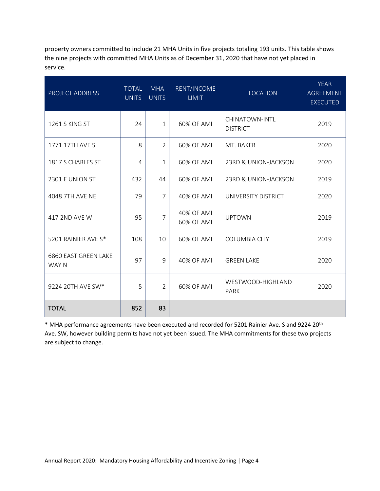property owners committed to include 21 MHA Units in five projects totaling 193 units. This table shows the nine projects with committed MHA Units as of December 31, 2020 that have not yet placed in service.

| PROJECT ADDRESS               | <b>TOTAL</b><br><b>UNITS</b> | <b>MHA</b><br><b>UNITS</b> | RENT/INCOME<br><b>LIMIT</b> | <b>LOCATION</b>                          | <b>YEAR</b><br>AGREEMENT<br><b>EXECUTED</b> |
|-------------------------------|------------------------------|----------------------------|-----------------------------|------------------------------------------|---------------------------------------------|
| 1261 S KING ST                | 24                           | $\mathbf{1}$               | 60% OF AMI                  | <b>CHINATOWN-INTL</b><br><b>DISTRICT</b> | 2019                                        |
| 1771 17TH AVE S               | 8                            | $\overline{2}$             | 60% OF AMI                  | MT. BAKER                                | 2020                                        |
| 1817 S CHARLES ST             | $\overline{4}$               | 1                          | 60% OF AMI                  | 23RD & UNION-JACKSON                     | 2020                                        |
| 2301 E UNION ST               | 432                          | 44                         | 60% OF AMI                  | 23RD & UNION-JACKSON                     | 2019                                        |
| 4048 7TH AVE NE               | 79                           | $\overline{7}$             | 40% OF AMI                  | UNIVERSITY DISTRICT                      | 2020                                        |
| 417 2ND AVE W                 | 95                           | $\overline{7}$             | 40% OF AMI<br>60% OF AMI    | <b>UPTOWN</b>                            | 2019                                        |
| 5201 RAINIER AVE S*           | 108                          | 10                         | 60% OF AMI                  | <b>COLUMBIA CITY</b>                     | 2019                                        |
| 6860 EAST GREEN LAKE<br>WAY N | 97                           | $\mathsf{q}$               | 40% OF AMI                  | <b>GREEN LAKE</b>                        | 2020                                        |
| 9224 20TH AVE SW*             | 5                            | $\mathcal{P}$              | 60% OF AMI                  | WESTWOOD-HIGHLAND<br><b>PARK</b>         | 2020                                        |
| <b>TOTAL</b>                  | 852                          | 83                         |                             |                                          |                                             |

\* MHA performance agreements have been executed and recorded for 5201 Rainier Ave. S and 9224 20th Ave. SW, however building permits have not yet been issued. The MHA commitments for these two projects are subject to change.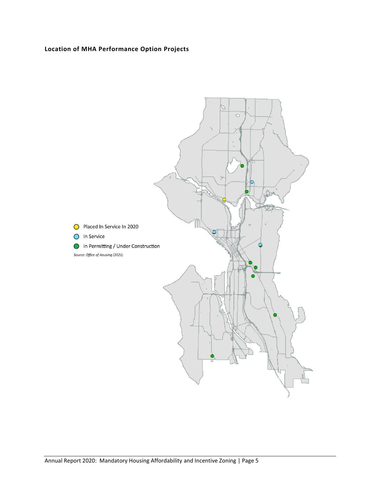### <span id="page-6-0"></span>**Location of MHA Performance Option Projects**

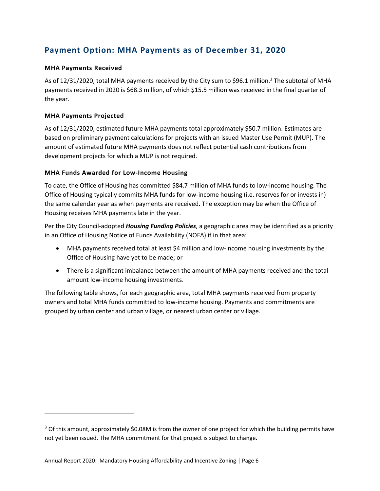## <span id="page-7-0"></span>**Payment Option: MHA Payments as of December 31, 2020**

#### <span id="page-7-1"></span>**MHA Payments Received**

As of 12/31/2020, total MHA payments received by the City sum to \$96.1 million.<sup>3</sup> The subtotal of MHA payments received in 2020 is \$68.3 million, of which \$15.5 million was received in the final quarter of the year.

#### <span id="page-7-2"></span>**MHA Payments Projected**

As of 12/31/2020, estimated future MHA payments total approximately \$50.7 million. Estimates are based on preliminary payment calculations for projects with an issued Master Use Permit (MUP). The amount of estimated future MHA payments does not reflect potential cash contributions from development projects for which a MUP is not required.

#### <span id="page-7-3"></span>**MHA Funds Awarded for Low-Income Housing**

To date, the Office of Housing has committed \$84.7 million of MHA funds to low-income housing. The Office of Housing typically commits MHA funds for low-income housing (i.e. reserves for or invests in) the same calendar year as when payments are received. The exception may be when the Office of Housing receives MHA payments late in the year.

Per the City Council-adopted *Housing Funding Policies*, a geographic area may be identified as a priority in an Office of Housing Notice of Funds Availability (NOFA) if in that area:

- MHA payments received total at least \$4 million and low-income housing investments by the Office of Housing have yet to be made; or
- There is a significant imbalance between the amount of MHA payments received and the total amount low-income housing investments.

The following table shows, for each geographic area, total MHA payments received from property owners and total MHA funds committed to low-income housing. Payments and commitments are grouped by urban center and urban village, or nearest urban center or village.

 $3$  Of this amount, approximately \$0.08M is from the owner of one project for which the building permits have not yet been issued. The MHA commitment for that project is subject to change.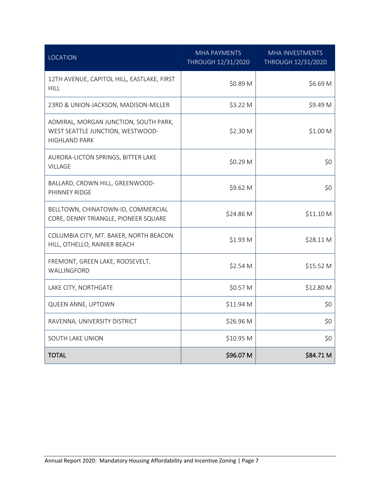| <b>LOCATION</b>                                                                                   | MHA PAYMENTS<br>THROUGH 12/31/2020 | MHA INVESTMENTS<br>THROUGH 12/31/2020 |
|---------------------------------------------------------------------------------------------------|------------------------------------|---------------------------------------|
| 12TH AVENUE, CAPITOL HILL, EASTLAKE, FIRST<br><b>HILL</b>                                         | \$0.89 M                           | \$6.69 M                              |
| 23RD & UNION-JACKSON, MADISON-MILLER                                                              | \$3.22 M                           | \$9.49 M                              |
| ADMIRAL, MORGAN JUNCTION, SOUTH PARK,<br>WEST SEATTLE JUNCTION, WESTWOOD-<br><b>HIGHLAND PARK</b> | \$2.30 M                           | \$1.00 M                              |
| AURORA-LICTON SPRINGS, BITTER LAKE<br><b>VILLAGE</b>                                              | \$0.29 M                           | \$0                                   |
| BALLARD, CROWN HILL, GREENWOOD-<br>PHINNEY RIDGE                                                  | \$9.62 M                           | \$0                                   |
| BELLTOWN, CHINATOWN-ID, COMMERCIAL<br>CORE, DENNY TRIANGLE, PIONEER SQUARE                        | \$24.86 M                          | \$11.10 M                             |
| COLUMBIA CITY, MT. BAKER, NORTH BEACON<br>HILL, OTHELLO, RAINIER BEACH                            | \$1.93 M                           | \$28.11 M                             |
| FREMONT, GREEN LAKE, ROOSEVELT,<br>WALLINGFORD                                                    | \$2.54 M                           | \$15.52 M                             |
| LAKE CITY, NORTHGATE                                                                              | \$0.57 M                           | \$12.80 M                             |
| QUEEN ANNE, UPTOWN                                                                                | \$11.94 M                          | \$0                                   |
| RAVENNA, UNIVERSITY DISTRICT                                                                      | \$26.96 M                          | \$0                                   |
| SOUTH LAKE UNION                                                                                  | \$10.95 M                          | \$0                                   |
| <b>TOTAL</b>                                                                                      | \$96.07 M                          | \$84.71 M                             |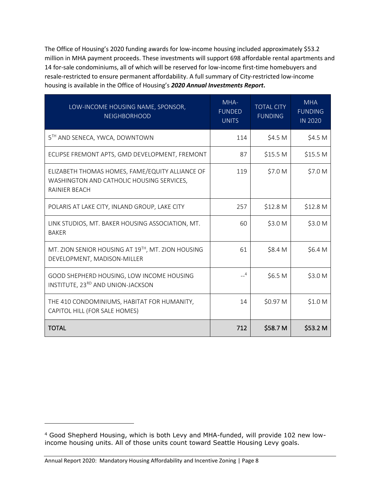The Office of Housing's 2020 funding awards for low-income housing included approximately \$53.2 million in MHA payment proceeds. These investments will support 698 affordable rental apartments and 14 for-sale condominiums, all of which will be reserved for low-income first-time homebuyers and resale-restricted to ensure permanent affordability. A full summary of City-restricted low-income housing is available in the Office of Housing's *2020 Annual Investments Report***.**

| LOW-INCOME HOUSING NAME, SPONSOR,<br><b>NEIGHBORHOOD</b>                                                      | MHA-<br><b>FUNDED</b><br><b>UNITS</b> | <b>TOTAL CITY</b><br><b>FUNDING</b> | <b>MHA</b><br><b>FUNDING</b><br>IN 2020 |
|---------------------------------------------------------------------------------------------------------------|---------------------------------------|-------------------------------------|-----------------------------------------|
| 5TH AND SENECA, YWCA, DOWNTOWN                                                                                | 114                                   | \$4.5 M                             | \$4.5 M                                 |
| ECLIPSE FREMONT APTS, GMD DEVELOPMENT, FREMONT                                                                | 87                                    | \$15.5 M                            | \$15.5 M                                |
| ELIZABETH THOMAS HOMES, FAME/EQUITY ALLIANCE OF<br>WASHINGTON AND CATHOLIC HOUSING SERVICES,<br>RAINIER BEACH | 119                                   | \$7.0 M                             | \$7.0 M                                 |
| POLARIS AT LAKE CITY, INLAND GROUP, LAKE CITY                                                                 | 257                                   | \$12.8 M                            | \$12.8 M                                |
| LINK STUDIOS, MT. BAKER HOUSING ASSOCIATION, MT.<br><b>BAKER</b>                                              | 60                                    | \$3.0 M                             | \$3.0 M                                 |
| MT. ZION SENIOR HOUSING AT 19TH, MT. ZION HOUSING<br>DEVELOPMENT, MADISON-MILLER                              | 61                                    | \$8.4 M                             | \$6.4 M                                 |
| GOOD SHEPHERD HOUSING, LOW INCOME HOUSING<br>INSTITUTE, 23RD AND UNION-JACKSON                                | $-4$                                  | \$6.5 M                             | \$3.0 M                                 |
| THE 410 CONDOMINIUMS, HABITAT FOR HUMANITY,<br>CAPITOL HILL (FOR SALE HOMES)                                  | 14                                    | \$0.97 M                            | \$1.0 M                                 |
| <b>TOTAL</b>                                                                                                  | 712                                   | \$58.7 M                            | \$53.2 M                                |

<sup>4</sup> Good Shepherd Housing, which is both Levy and MHA-funded, will provide 102 new lowincome housing units. All of those units count toward Seattle Housing Levy goals.

Annual Report 2020: Mandatory Housing Affordability and Incentive Zoning | Page 8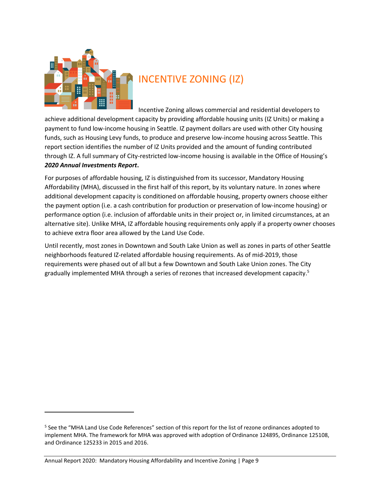

# <span id="page-10-0"></span>INCENTIVE ZONING (IZ)

Incentive Zoning allows commercial and residential developers to achieve additional development capacity by providing affordable housing units (IZ Units) or making a payment to fund low-income housing in Seattle. IZ payment dollars are used with other City housing funds, such as Housing Levy funds, to produce and preserve low-income housing across Seattle. This report section identifies the number of IZ Units provided and the amount of funding contributed through IZ. A full summary of City-restricted low-income housing is available in the Office of Housing's *2020 Annual Investments Report***.** 

For purposes of affordable housing, IZ is distinguished from its successor, Mandatory Housing Affordability (MHA), discussed in the first half of this report, by its voluntary nature. In zones where additional development capacity is conditioned on affordable housing, property owners choose either the payment option (i.e. a cash contribution for production or preservation of low-income housing) or performance option (i.e. inclusion of affordable units in their project or, in limited circumstances, at an alternative site). Unlike MHA, IZ affordable housing requirements only apply if a property owner chooses to achieve extra floor area allowed by the Land Use Code.

Until recently, most zones in Downtown and South Lake Union as well as zones in parts of other Seattle neighborhoods featured IZ-related affordable housing requirements. As of mid-2019, those requirements were phased out of all but a few Downtown and South Lake Union zones. The City gradually implemented MHA through a series of rezones that increased development capacity. 5

<sup>5</sup> See the "MHA Land Use Code References" section of this report for the list of rezone ordinances adopted to implement MHA. The framework for MHA was approved with adoption of Ordinance 124895, Ordinance 125108, and Ordinance 125233 in 2015 and 2016.

Annual Report 2020: Mandatory Housing Affordability and Incentive Zoning | Page 9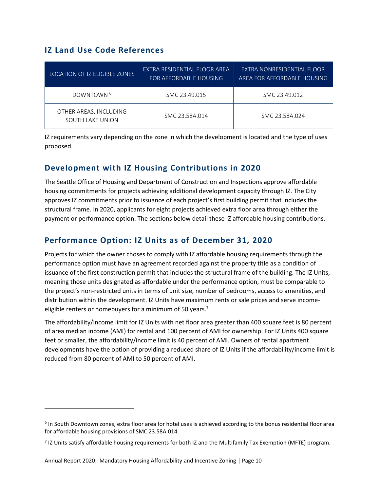## <span id="page-11-0"></span>**IZ Land Use Code References**

| <b>LOCATION OF IZ ELIGIBLE ZONES</b>       | EXTRA RESIDENTIAL FLOOR AREA<br>FOR AFFORDABLE HOUSING | EXTRA NONRESIDENTIAL FLOOR<br>AREA FOR AFFORDABLE HOUSING |
|--------------------------------------------|--------------------------------------------------------|-----------------------------------------------------------|
| DOWNTOWN <sup>6</sup>                      | SMC 23.49.015                                          | SMC 23.49.012                                             |
| OTHER AREAS, INCLUDING<br>SOUTH LAKE UNION | SMC 23,58A,014                                         | SMC 23,58A,024                                            |

IZ requirements vary depending on the zone in which the development is located and the type of uses proposed.

## <span id="page-11-1"></span>**Development with IZ Housing Contributions in 2020**

The Seattle Office of Housing and Department of Construction and Inspections approve affordable housing commitments for projects achieving additional development capacity through IZ. The City approves IZ commitments prior to issuance of each project's first building permit that includes the structural frame. In 2020, applicants for eight projects achieved extra floor area through either the payment or performance option. The sections below detail these IZ affordable housing contributions.

## <span id="page-11-2"></span>**Performance Option: IZ Units as of December 31, 2020**

Projects for which the owner choses to comply with IZ affordable housing requirements through the performance option must have an agreement recorded against the property title as a condition of issuance of the first construction permit that includes the structural frame of the building. The IZ Units, meaning those units designated as affordable under the performance option, must be comparable to the project's non-restricted units in terms of unit size, number of bedrooms, access to amenities, and distribution within the development. IZ Units have maximum rents or sale prices and serve incomeeligible renters or homebuyers for a minimum of 50 years.<sup>7</sup>

The affordability/income limit for IZ Units with net floor area greater than 400 square feet is 80 percent of area median income (AMI) for rental and 100 percent of AMI for ownership. For IZ Units 400 square feet or smaller, the affordability/income limit is 40 percent of AMI. Owners of rental apartment developments have the option of providing a reduced share of IZ Units if the affordability/income limit is reduced from 80 percent of AMI to 50 percent of AMI.

<sup>6</sup> In South Downtown zones, extra floor area for hotel uses is achieved according to the bonus residential floor area for affordable housing provisions of SMC 23.58A.014.

<sup>&</sup>lt;sup>7</sup> IZ Units satisfy affordable housing requirements for both IZ and the Multifamily Tax Exemption (MFTE) program.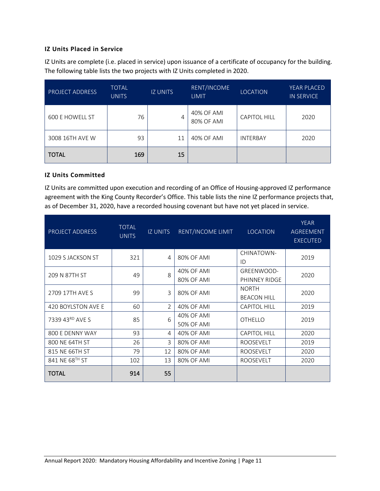#### <span id="page-12-0"></span>**IZ Units Placed in Service**

IZ Units are complete (i.e. placed in service) upon issuance of a certificate of occupancy for the building. The following table lists the two projects with IZ Units completed in 2020.

| <b>PROJECT ADDRESS</b> | <b>TOTAL</b><br><b>UNITS</b> | <b>IZ UNITS</b> | RENT/INCOME<br><b>LIMIT</b> | <b>LOCATION</b>     | <b>YEAR PLACED</b><br>IN SERVICE |
|------------------------|------------------------------|-----------------|-----------------------------|---------------------|----------------------------------|
| 600 E HOWELL ST        | 76                           | 4               | 40% OF AMI<br>80% OF AMI    | <b>CAPITOL HILL</b> | 2020                             |
| 3008 16TH AVE W        | 93                           | 11              | 40% OF AMI                  | <b>INTERBAY</b>     | 2020                             |
| <b>TOTAL</b>           | 169                          | 15              |                             |                     |                                  |

#### <span id="page-12-1"></span>**IZ Units Committed**

IZ Units are committed upon execution and recording of an Office of Housing-approved IZ performance agreement with the King County Recorder's Office. This table lists the nine IZ performance projects that, as of December 31, 2020, have a recorded housing covenant but have not yet placed in service.

| PROJECT ADDRESS    | <b>TOTAL</b><br><b>UNITS</b> | <b>IZ UNITS</b> | RENT/INCOME LIMIT        | <b>LOCATION</b>                    | <b>YEAR</b><br>AGREEMENT<br><b>EXECUTED</b> |
|--------------------|------------------------------|-----------------|--------------------------|------------------------------------|---------------------------------------------|
| 1029 S JACKSON ST  | 321                          | 4               | 80% OF AMI               | CHINATOWN-<br>ID                   | 2019                                        |
| 209 N 87TH ST      | 49                           | $\mathcal{R}$   | 40% OF AMI<br>80% OF AMI | <b>GREENWOOD-</b><br>PHINNEY RIDGE | 2020                                        |
| 2709 17TH AVE S    | 99                           | 3               | 80% OF AMI               | <b>NORTH</b><br><b>BEACON HILL</b> | 2020                                        |
| 420 BOYLSTON AVE E | 60                           | $\mathcal{P}$   | 40% OF AMI               | <b>CAPITOL HILL</b>                | 2019                                        |
| 7339 43RD AVE S    | 85                           | $\sqrt{2}$      | 40% OF AMI<br>50% OF AMI | <b>OTHELLO</b>                     | 2019                                        |
| 800 E DENNY WAY    | 93                           | 4               | 40% OF AMI               | <b>CAPITOL HILL</b>                | 2020                                        |
| 800 NE 64TH ST     | 26                           | 3               | 80% OF AMI               | <b>ROOSEVELT</b>                   | 2019                                        |
| 815 NE 66TH ST     | 79                           | 12              | 80% OF AMI               | <b>ROOSEVELT</b>                   | 2020                                        |
| 841 NE 68TH ST     | 102                          | 13              | 80% OF AMI               | <b>ROOSEVELT</b>                   | 2020                                        |
| <b>TOTAL</b>       | 914                          | 55              |                          |                                    |                                             |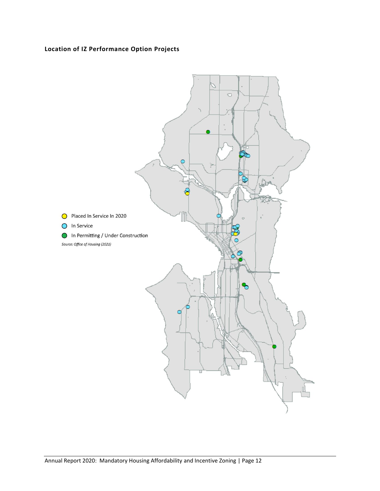### <span id="page-13-0"></span>**Location of IZ Performance Option Projects**

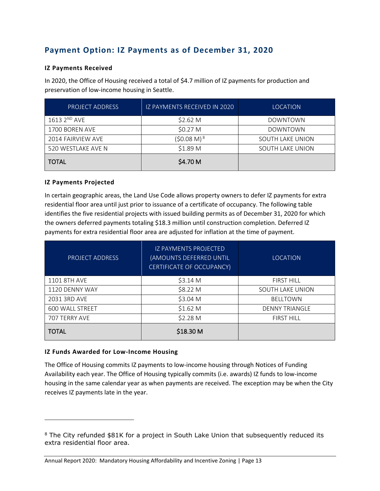## <span id="page-14-0"></span>**Payment Option: IZ Payments as of December 31, 2020**

#### <span id="page-14-1"></span>**IZ Payments Received**

In 2020, the Office of Housing received a total of \$4.7 million of IZ payments for production and preservation of low-income housing in Seattle.

| <b>PROJECT ADDRESS</b> | IZ PAYMENTS RECEIVED IN 2020 | <b>LOCATION</b>         |
|------------------------|------------------------------|-------------------------|
| $16132^{ND}$ AVE       | \$2.62 <sub>M</sub>          | <b>DOWNTOWN</b>         |
| 1700 BOREN AVE         | \$0.27 <sub>M</sub>          | <b>DOWNTOWN</b>         |
| 2014 FAIRVIEW AVE      | (\$0.08 M) <sup>8</sup>      | <b>SOUTH LAKE UNION</b> |
| 520 WESTLAKE AVE N     | \$1.89 M                     | <b>SOUTH LAKE UNION</b> |
| <b>TOTAL</b>           | \$4.70 M                     |                         |

#### <span id="page-14-2"></span>**IZ Payments Projected**

In certain geographic areas, the Land Use Code allows property owners to defer IZ payments for extra residential floor area until just prior to issuance of a certificate of occupancy. The following table identifies the five residential projects with issued building permits as of December 31, 2020 for which the owners deferred payments totaling \$18.3 million until construction completion. Deferred IZ payments for extra residential floor area are adjusted for inflation at the time of payment.

| <b>PROJECT ADDRESS</b> | IZ PAYMENTS PROJECTED<br>(AMOUNTS DEFERRED UNTIL<br>CERTIFICATE OF OCCUPANCY) | <b>LOCATION</b>         |
|------------------------|-------------------------------------------------------------------------------|-------------------------|
| 1101 8TH AVE           | \$3.14 M                                                                      | <b>FIRST HILL</b>       |
| 1120 DENNY WAY         | \$8.22 M                                                                      | <b>SOUTH LAKE UNION</b> |
| 2031 3RD AVE           | \$3.04 M                                                                      | <b>BELLTOWN</b>         |
| 600 WALL STREET        | \$1.62 <sub>M</sub>                                                           | <b>DENNY TRIANGLE</b>   |
| 707 TERRY AVE          | \$2.28 M                                                                      | <b>FIRST HILL</b>       |
| <b>TOTAL</b>           | \$18.30 M                                                                     |                         |

#### <span id="page-14-3"></span>**IZ Funds Awarded for Low-Income Housing**

The Office of Housing commits IZ payments to low-income housing through Notices of Funding Availability each year. The Office of Housing typically commits (i.e. awards) IZ funds to low-income housing in the same calendar year as when payments are received. The exception may be when the City receives IZ payments late in the year.

<sup>&</sup>lt;sup>8</sup> The City refunded \$81K for a project in South Lake Union that subsequently reduced its extra residential floor area.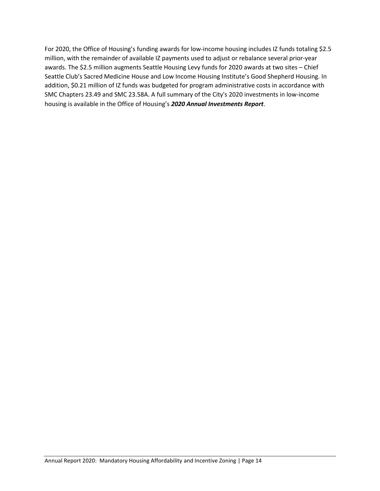For 2020, the Office of Housing's funding awards for low-income housing includes IZ funds totaling \$2.5 million, with the remainder of available IZ payments used to adjust or rebalance several prior-year awards. The \$2.5 million augments Seattle Housing Levy funds for 2020 awards at two sites – Chief Seattle Club's Sacred Medicine House and Low Income Housing Institute's Good Shepherd Housing. In addition, \$0.21 million of IZ funds was budgeted for program administrative costs in accordance with SMC Chapters 23.49 and SMC 23.58A. A full summary of the City's 2020 investments in low-income housing is available in the Office of Housing's *2020 Annual Investments Report*.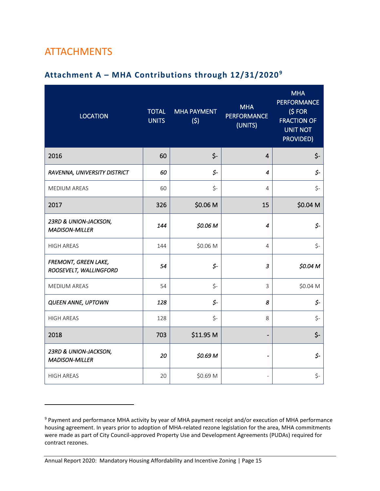# <span id="page-16-0"></span>**ATTACHMENTS**

## <span id="page-16-1"></span>**Attachment A – MHA Contributions through 12/31/2020<sup>9</sup>**

| <b>LOCATION</b>                                | <b>TOTAL</b><br><b>UNITS</b> | <b>MHA PAYMENT</b><br>(5) | <b>MHA</b><br><b>PERFORMANCE</b><br>(UNITS) | <b>MHA</b><br><b>PERFORMANCE</b><br>$(5 FOR)$<br><b>FRACTION OF</b><br><b>UNIT NOT</b><br>PROVIDED) |
|------------------------------------------------|------------------------------|---------------------------|---------------------------------------------|-----------------------------------------------------------------------------------------------------|
| 2016                                           | 60                           | \$-                       | 4                                           | $\zeta$ -                                                                                           |
| RAVENNA, UNIVERSITY DISTRICT                   | 60                           | \$-                       | 4                                           | $\mathsf{S}\text{-}$                                                                                |
| <b>MEDIUM AREAS</b>                            | 60                           | $\zeta$ -                 | 4                                           | $\zeta$ -                                                                                           |
| 2017                                           | 326                          | \$0.06 M                  | 15                                          | \$0.04 M                                                                                            |
| 23RD & UNION-JACKSON,<br><b>MADISON-MILLER</b> | 144                          | \$0.06 M                  | 4                                           | \$-                                                                                                 |
| <b>HIGH AREAS</b>                              | 144                          | \$0.06 M                  | $\overline{4}$                              | $\zeta$ -                                                                                           |
| FREMONT, GREEN LAKE,<br>ROOSEVELT, WALLINGFORD | 54                           | \$-                       | 3                                           | \$0.04 M                                                                                            |
| <b>MEDIUM AREAS</b>                            | 54                           | $\zeta$ -                 | 3                                           | \$0.04 M                                                                                            |
| <b>QUEEN ANNE, UPTOWN</b>                      | 128                          | \$-                       | 8                                           | \$-                                                                                                 |
| <b>HIGH AREAS</b>                              | 128                          | $\zeta$ -                 | 8                                           | $\zeta$ -                                                                                           |
| 2018                                           | 703                          | \$11.95 M                 | -                                           | $\zeta$ -                                                                                           |
| 23RD & UNION-JACKSON,<br><b>MADISON-MILLER</b> | 20                           | \$0.69 M                  | $\overline{a}$                              | \$-                                                                                                 |
| <b>HIGH AREAS</b>                              | 20                           | \$0.69 M                  |                                             | \$-                                                                                                 |

<sup>9</sup> Payment and performance MHA activity by year of MHA payment receipt and/or execution of MHA performance housing agreement. In years prior to adoption of MHA-related rezone legislation for the area, MHA commitments were made as part of City Council-approved Property Use and Development Agreements (PUDAs) required for contract rezones.

Annual Report 2020: Mandatory Housing Affordability and Incentive Zoning | Page 15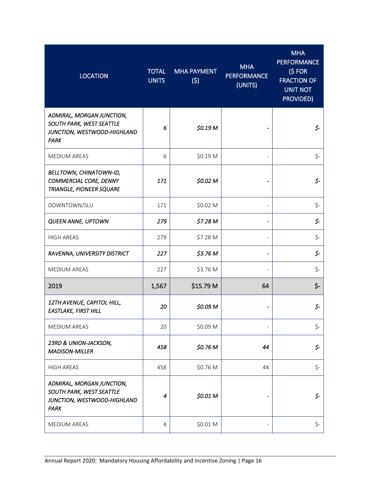| <b>LOCATION</b>                                                                                     | <b>TOTAL</b><br><b>UNITS</b> | <b>MHA PAYMENT</b><br>(5) | <b>MHA</b><br><b>PERFORMANCE</b><br>(UNITS) | <b>MHA</b><br><b>PERFORMANCE</b><br>(S FOR<br><b>FRACTION OF</b><br><b>UNIT NOT</b><br><b>PROVIDED)</b> |
|-----------------------------------------------------------------------------------------------------|------------------------------|---------------------------|---------------------------------------------|---------------------------------------------------------------------------------------------------------|
| ADMIRAL, MORGAN JUNCTION,<br>SOUTH PARK, WEST SEATTLE<br>JUNCTION, WESTWOOD-HIGHLAND<br><b>PARK</b> | 6                            | \$0.19 M                  |                                             | $\zeta$ -                                                                                               |
| <b>MEDIUM AREAS</b>                                                                                 | 6                            | \$0.19 M                  |                                             | $\zeta$ -                                                                                               |
| BELLTOWN, CHINATOWN-ID,<br>COMMERCIAL CORE, DENNY<br>TRIANGLE, PIONEER SQUARE                       | 171                          | \$0.02 M                  |                                             | \$-                                                                                                     |
| DOWNTOWN/SLU                                                                                        | 171                          | \$0.02 M                  |                                             | \$-                                                                                                     |
| <b>QUEEN ANNE, UPTOWN</b>                                                                           | 279                          | \$7.28 M                  |                                             | $\zeta$ -                                                                                               |
| <b>HIGH AREAS</b>                                                                                   | 279                          | \$7.28 M                  |                                             | $\zeta$ -                                                                                               |
| RAVENNA, UNIVERSITY DISTRICT                                                                        | 227                          | \$3.76 M                  |                                             | \$-                                                                                                     |
| <b>MEDIUM AREAS</b>                                                                                 | 227                          | \$3.76 M                  |                                             | \$-                                                                                                     |
| 2019                                                                                                | 1,567                        | \$15.79 M                 | 64                                          | $\zeta$ -                                                                                               |
| 12TH AVENUE, CAPITOL HILL,<br>EASTLAKE, FIRST HILL                                                  | 20                           | \$0.09 M                  |                                             | \$-                                                                                                     |
| MEDIUM AREAS                                                                                        | 20                           | \$0.09 M                  |                                             | \$-                                                                                                     |
| 23RD & UNION-JACKSON,<br><b>MADISON-MILLER</b>                                                      | 458                          | \$0.76 M                  | 44                                          | \$-                                                                                                     |
| <b>HIGH AREAS</b>                                                                                   | 458                          | \$0.76 M                  | 44                                          | \$-                                                                                                     |
| ADMIRAL, MORGAN JUNCTION,<br>SOUTH PARK, WEST SEATTLE<br>JUNCTION, WESTWOOD-HIGHLAND<br>PARK        | 4                            | \$0.01 M                  |                                             | \$-                                                                                                     |
| MEDIUM AREAS                                                                                        | 4                            | \$0.01 M                  |                                             | \$-                                                                                                     |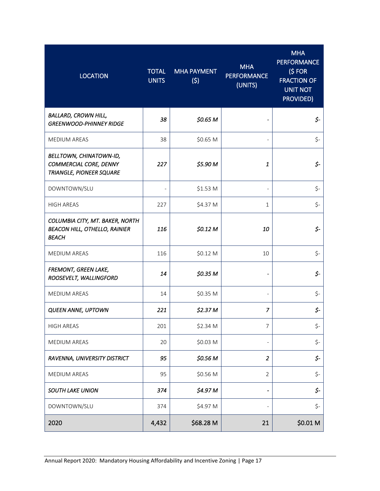| <b>LOCATION</b>                                                                         | <b>TOTAL</b><br><b>UNITS</b> | <b>MHA PAYMENT</b><br>(5) | <b>MHA</b><br><b>PERFORMANCE</b><br>(UNITS) | <b>MHA</b><br><b>PERFORMANCE</b><br>$(5 FOR)$<br><b>FRACTION OF</b><br><b>UNIT NOT</b><br><b>PROVIDED)</b> |
|-----------------------------------------------------------------------------------------|------------------------------|---------------------------|---------------------------------------------|------------------------------------------------------------------------------------------------------------|
| <b>BALLARD, CROWN HILL,</b><br><b>GREENWOOD-PHINNEY RIDGE</b>                           | 38                           | \$0.65 <sub>M</sub>       |                                             | \$-                                                                                                        |
| <b>MEDIUM AREAS</b>                                                                     | 38                           | \$0.65 M                  |                                             | \$-                                                                                                        |
| BELLTOWN, CHINATOWN-ID,<br>COMMERCIAL CORE, DENNY<br>TRIANGLE, PIONEER SQUARE           | 227                          | \$5.90 M                  | 1                                           | \$-                                                                                                        |
| DOWNTOWN/SLU                                                                            | ÷,                           | \$1.53 M                  |                                             | $\zeta$ -                                                                                                  |
| <b>HIGH AREAS</b>                                                                       | 227                          | \$4.37 M                  | 1                                           | $\zeta$ -                                                                                                  |
| COLUMBIA CITY, MT. BAKER, NORTH<br><b>BEACON HILL, OTHELLO, RAINIER</b><br><b>BEACH</b> | 116                          | \$0.12 M                  | 10                                          | \$-                                                                                                        |
| <b>MEDIUM AREAS</b>                                                                     | 116                          | \$0.12 M                  | 10                                          | \$-                                                                                                        |
| FREMONT, GREEN LAKE,<br>ROOSEVELT, WALLINGFORD                                          | 14                           | \$0.35 <sub>M</sub>       |                                             | $\zeta$ -                                                                                                  |
| MEDIUM AREAS                                                                            | 14                           | \$0.35 M                  |                                             | \$-                                                                                                        |
| <b>QUEEN ANNE, UPTOWN</b>                                                               | 221                          | \$2.37 <sub>M</sub>       | 7                                           | \$-                                                                                                        |
| <b>HIGH AREAS</b>                                                                       | 201                          | \$2.34 M                  | 7                                           | \$-                                                                                                        |
| MEDIUM AREAS                                                                            | 20                           | \$0.03 M                  |                                             | \$-                                                                                                        |
| RAVENNA, UNIVERSITY DISTRICT                                                            | 95                           | \$0.56 M                  | $\overline{a}$                              | \$-                                                                                                        |
| MEDIUM AREAS                                                                            | 95                           | \$0.56 M                  | $\overline{2}$                              | \$-                                                                                                        |
| <b>SOUTH LAKE UNION</b>                                                                 | 374                          | \$4.97 M                  |                                             | \$-                                                                                                        |
| DOWNTOWN/SLU                                                                            | 374                          | \$4.97 M                  |                                             | \$-                                                                                                        |
| 2020                                                                                    | 4,432                        | \$68.28 M                 | 21                                          | \$0.01 M                                                                                                   |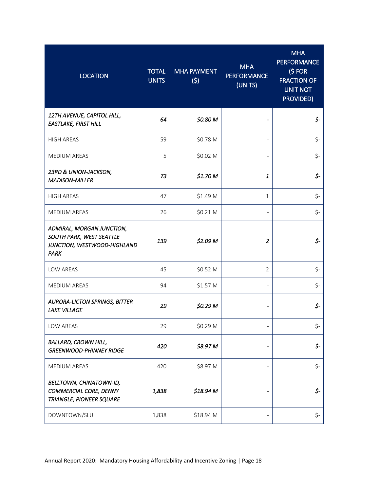| <b>LOCATION</b>                                                                              | <b>TOTAL</b><br><b>UNITS</b> | <b>MHA PAYMENT</b><br>(5) | <b>MHA</b><br><b>PERFORMANCE</b><br>(UNITS) | <b>MHA</b><br><b>PERFORMANCE</b><br>$(5 FOR)$<br><b>FRACTION OF</b><br><b>UNIT NOT</b><br><b>PROVIDED)</b> |
|----------------------------------------------------------------------------------------------|------------------------------|---------------------------|---------------------------------------------|------------------------------------------------------------------------------------------------------------|
| 12TH AVENUE, CAPITOL HILL,<br><b>EASTLAKE, FIRST HILL</b>                                    | 64                           | \$0.80 M                  |                                             | \$-                                                                                                        |
| <b>HIGH AREAS</b>                                                                            | 59                           | \$0.78 M                  |                                             | $\zeta$ -                                                                                                  |
| <b>MEDIUM AREAS</b>                                                                          | 5                            | \$0.02 M                  |                                             | $\zeta$ -                                                                                                  |
| 23RD & UNION-JACKSON,<br><b>MADISON-MILLER</b>                                               | 73                           | \$1.70 M                  | 1                                           | \$-                                                                                                        |
| <b>HIGH AREAS</b>                                                                            | 47                           | \$1.49 M                  | $\mathbf{1}$                                | $\zeta$ -                                                                                                  |
| <b>MEDIUM AREAS</b>                                                                          | 26                           | \$0.21 M                  |                                             | $\zeta$ -                                                                                                  |
| ADMIRAL, MORGAN JUNCTION,<br>SOUTH PARK, WEST SEATTLE<br>JUNCTION, WESTWOOD-HIGHLAND<br>PARK | 139                          | \$2.09 M                  | 2                                           | \$-                                                                                                        |
| LOW AREAS                                                                                    | 45                           | \$0.52 M                  | $\overline{2}$                              | \$-                                                                                                        |
| <b>MEDIUM AREAS</b>                                                                          | 94                           | \$1.57 M                  |                                             | $\zeta$ -                                                                                                  |
| <b>AURORA-LICTON SPRINGS, BITTER</b><br><b>LAKE VILLAGE</b>                                  | 29                           | \$0.29 M                  |                                             | $5-$                                                                                                       |
| LOW AREAS                                                                                    | 29                           | \$0.29 M                  |                                             | \$-                                                                                                        |
| <b>BALLARD, CROWN HILL,</b><br><b>GREENWOOD-PHINNEY RIDGE</b>                                | 420                          | \$8.97 M                  |                                             | \$-                                                                                                        |
| MEDIUM AREAS                                                                                 | 420                          | \$8.97 M                  |                                             | \$-                                                                                                        |
| BELLTOWN, CHINATOWN-ID,<br>COMMERCIAL CORE, DENNY<br>TRIANGLE, PIONEER SQUARE                | 1,838                        | \$18.94 M                 |                                             | \$-                                                                                                        |
| DOWNTOWN/SLU                                                                                 | 1,838                        | \$18.94 M                 |                                             | \$-                                                                                                        |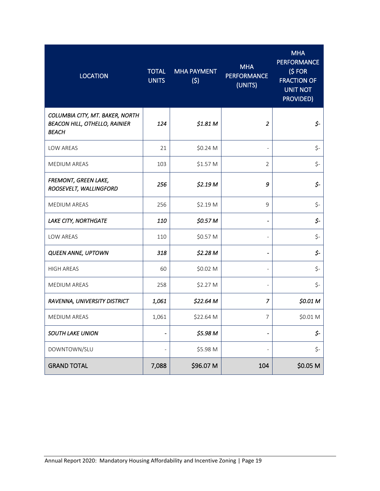| <b>LOCATION</b>                                                                         | <b>TOTAL</b><br><b>UNITS</b> | <b>MHA PAYMENT</b><br>(5) | <b>MHA</b><br><b>PERFORMANCE</b><br>(UNITS) | <b>MHA</b><br><b>PERFORMANCE</b><br>(S FOR<br><b>FRACTION OF</b><br><b>UNIT NOT</b><br><b>PROVIDED)</b> |
|-----------------------------------------------------------------------------------------|------------------------------|---------------------------|---------------------------------------------|---------------------------------------------------------------------------------------------------------|
| COLUMBIA CITY, MT. BAKER, NORTH<br><b>BEACON HILL, OTHELLO, RAINIER</b><br><b>BEACH</b> | 124                          | \$1.81 <sub>M</sub>       | 2                                           | \$-                                                                                                     |
| LOW AREAS                                                                               | 21                           | \$0.24 M                  |                                             | $\zeta$ -                                                                                               |
| <b>MEDIUM AREAS</b>                                                                     | 103                          | \$1.57 M                  | 2                                           | $\zeta$ -                                                                                               |
| FREMONT, GREEN LAKE,<br>ROOSEVELT, WALLINGFORD                                          | 256                          | \$2.19 <sub>M</sub>       | 9                                           | \$-                                                                                                     |
| <b>MEDIUM AREAS</b>                                                                     | 256                          | \$2.19 M                  | 9                                           | $\zeta$ -                                                                                               |
| LAKE CITY, NORTHGATE                                                                    | 110                          | \$0.57 <sub>M</sub>       |                                             | \$-                                                                                                     |
| LOW AREAS                                                                               | 110                          | \$0.57 M                  | $\blacksquare$                              | $\zeta$ -                                                                                               |
| <b>QUEEN ANNE, UPTOWN</b>                                                               | 318                          | \$2.28 M                  |                                             | \$-                                                                                                     |
| <b>HIGH AREAS</b>                                                                       | 60                           | \$0.02 M                  |                                             | $\zeta$ -                                                                                               |
| <b>MEDIUM AREAS</b>                                                                     | 258                          | \$2.27 M                  |                                             | \$-                                                                                                     |
| RAVENNA, UNIVERSITY DISTRICT                                                            | 1,061                        | \$22.64 M                 | $\overline{z}$                              | \$0.01 M                                                                                                |
| <b>MEDIUM AREAS</b>                                                                     | 1,061                        | \$22.64 M                 | 7                                           | \$0.01 M                                                                                                |
| <b>SOUTH LAKE UNION</b>                                                                 | -                            | \$5.98 M                  |                                             | \$-                                                                                                     |
| DOWNTOWN/SLU                                                                            | $\overline{\phantom{0}}$     | \$5.98 M                  |                                             | \$-                                                                                                     |
| <b>GRAND TOTAL</b>                                                                      | 7,088                        | \$96.07 M                 | 104                                         | \$0.05 M                                                                                                |